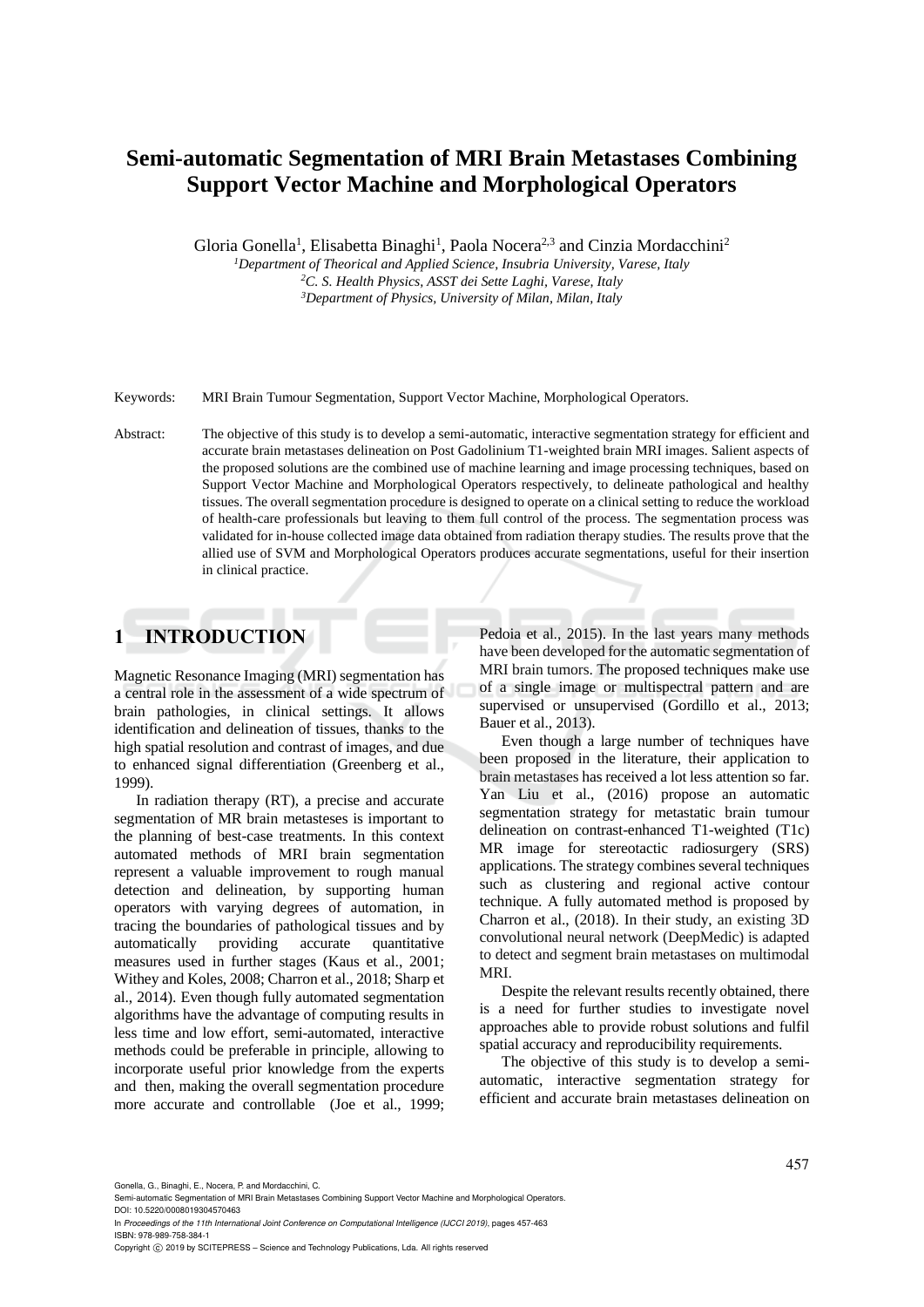# **Semi-automatic Segmentation of MRI Brain Metastases Combining Support Vector Machine and Morphological Operators**

Gloria Gonella<sup>1</sup>, Elisabetta Binaghi<sup>1</sup>, Paola Nocera<sup>2,3</sup> and Cinzia Mordacchini<sup>2</sup>

*<sup>1</sup>Department of Theorical and Applied Science, Insubria University, Varese, Italy <sup>2</sup>C. S. Health Physics, ASST dei Sette Laghi, Varese, Italy*

*<sup>3</sup>Department of Physics, University of Milan, Milan, Italy*

Keywords: MRI Brain Tumour Segmentation, Support Vector Machine, Morphological Operators.

Abstract: The objective of this study is to develop a semi-automatic, interactive segmentation strategy for efficient and accurate brain metastases delineation on Post Gadolinium T1-weighted brain MRI images. Salient aspects of the proposed solutions are the combined use of machine learning and image processing techniques, based on Support Vector Machine and Morphological Operators respectively, to delineate pathological and healthy tissues. The overall segmentation procedure is designed to operate on a clinical setting to reduce the workload of health-care professionals but leaving to them full control of the process. The segmentation process was validated for in-house collected image data obtained from radiation therapy studies. The results prove that the allied use of SVM and Morphological Operators produces accurate segmentations, useful for their insertion in clinical practice.

## **1 INTRODUCTION**

Magnetic Resonance Imaging (MRI) segmentation has a central role in the assessment of a wide spectrum of brain pathologies, in clinical settings. It allows identification and delineation of tissues, thanks to the high spatial resolution and contrast of images, and due to enhanced signal differentiation (Greenberg et al., 1999).

In radiation therapy (RT), a precise and accurate segmentation of MR brain metasteses is important to the planning of best-case treatments. In this context automated methods of MRI brain segmentation represent a valuable improvement to rough manual detection and delineation, by supporting human operators with varying degrees of automation, in tracing the boundaries of pathological tissues and by automatically providing accurate quantitative measures used in further stages (Kaus et al., 2001; Withey and Koles, 2008; Charron et al., 2018; Sharp et al., 2014). Even though fully automated segmentation algorithms have the advantage of computing results in less time and low effort, semi-automated, interactive methods could be preferable in principle, allowing to incorporate useful prior knowledge from the experts and then, making the overall segmentation procedure more accurate and controllable (Joe et al., 1999; Pedoia et al., 2015). In the last years many methods have been developed for the automatic segmentation of MRI brain tumors. The proposed techniques make use of a single image or multispectral pattern and are supervised or unsupervised (Gordillo et al., 2013; Bauer et al., 2013).

Even though a large number of techniques have been proposed in the literature, their application to brain metastases has received a lot less attention so far. Yan Liu et al., (2016) propose an automatic segmentation strategy for metastatic brain tumour delineation on contrast-enhanced T1-weighted (T1c) MR image for stereotactic radiosurgery (SRS) applications. The strategy combines several techniques such as clustering and regional active contour technique. A fully automated method is proposed by Charron et al., (2018). In their study, an existing 3D convolutional neural network (DeepMedic) is adapted to detect and segment brain metastases on multimodal MRI.

Despite the relevant results recently obtained, there is a need for further studies to investigate novel approaches able to provide robust solutions and fulfil spatial accuracy and reproducibility requirements.

The objective of this study is to develop a semiautomatic, interactive segmentation strategy for efficient and accurate brain metastases delineation on

Gonella, G., Binaghi, E., Nocera, P. and Mordacchini, C.

Semi-automatic Segmentation of MRI Brain Metastases Combining Support Vector Machine and Morphological Operators. DOI: 10.5220/0008019304570463

In *Proceedings of the 11th International Joint Conference on Computational Intelligence (IJCCI 2019)*, pages 457-463 ISBN: 978-989-758-384-1

Copyright © 2019 by SCITEPRESS - Science and Technology Publications, Lda. All rights reserved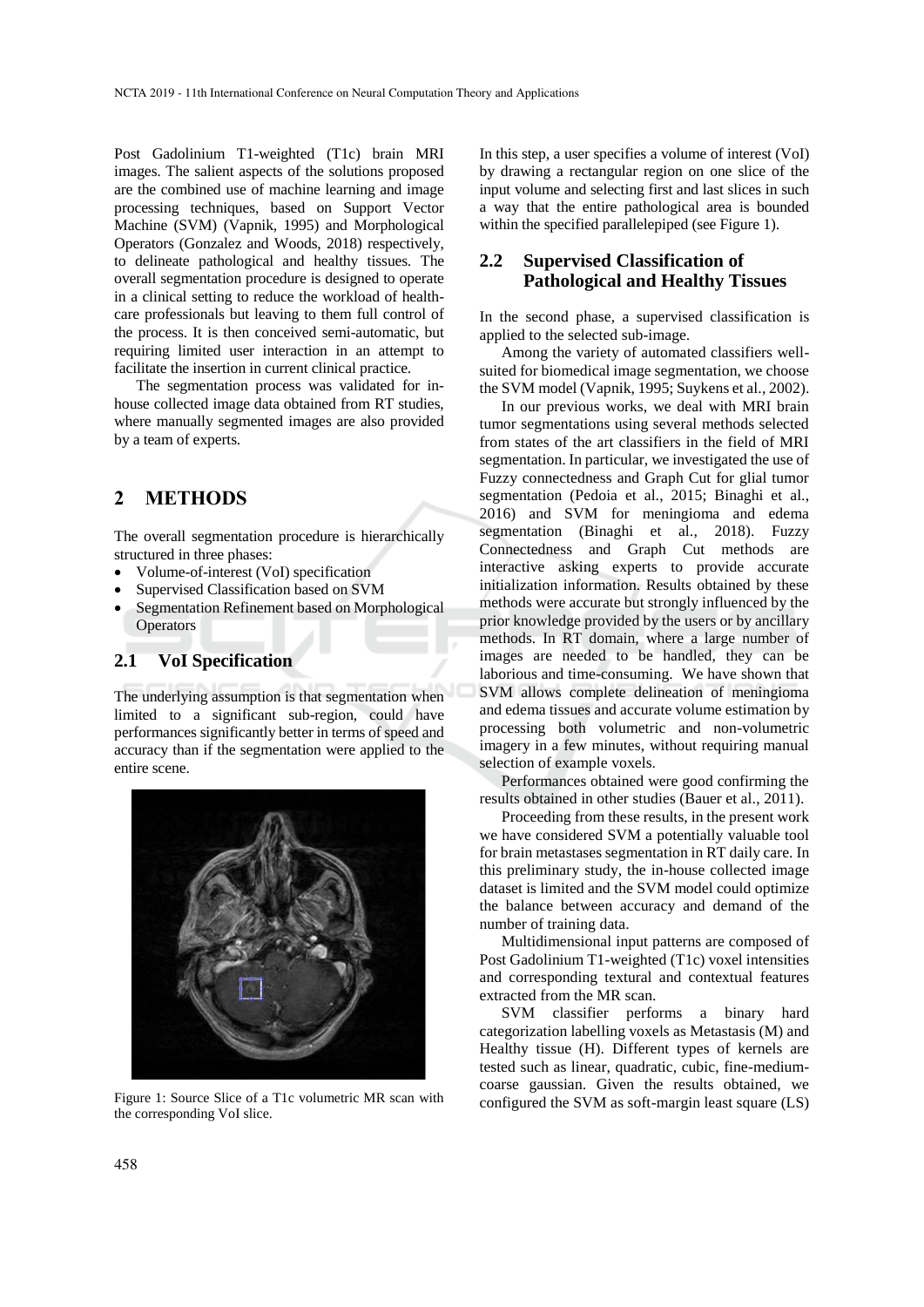Post Gadolinium T1-weighted (T1c) brain MRI images. The salient aspects of the solutions proposed are the combined use of machine learning and image processing techniques, based on Support Vector Machine (SVM) (Vapnik, 1995) and Morphological Operators (Gonzalez and Woods, 2018) respectively, to delineate pathological and healthy tissues. The overall segmentation procedure is designed to operate in a clinical setting to reduce the workload of healthcare professionals but leaving to them full control of the process. It is then conceived semi-automatic, but requiring limited user interaction in an attempt to facilitate the insertion in current clinical practice.

The segmentation process was validated for inhouse collected image data obtained from RT studies, where manually segmented images are also provided by a team of experts.

### **2 METHODS**

The overall segmentation procedure is hierarchically structured in three phases:

- Volume-of-interest (VoI) specification
- Supervised Classification based on SVM
- Segmentation Refinement based on Morphological **Operators**

#### **2.1 VoI Specification**

The underlying assumption is that segmentation when limited to a significant sub-region, could have performances significantly better in terms of speed and accuracy than if the segmentation were applied to the entire scene.



Figure 1: Source Slice of a T1c volumetric MR scan with the corresponding VoI slice.

In this step, a user specifies a volume of interest (VoI) by drawing a rectangular region on one slice of the input volume and selecting first and last slices in such a way that the entire pathological area is bounded within the specified parallelepiped (see Figure 1).

### **2.2 Supervised Classification of Pathological and Healthy Tissues**

In the second phase, a supervised classification is applied to the selected sub-image.

Among the variety of automated classifiers wellsuited for biomedical image segmentation, we choose the SVM model (Vapnik, 1995; Suykens et al., 2002).

In our previous works, we deal with MRI brain tumor segmentations using several methods selected from states of the art classifiers in the field of MRI segmentation. In particular, we investigated the use of Fuzzy connectedness and Graph Cut for glial tumor segmentation (Pedoia et al., 2015; Binaghi et al., 2016) and SVM for meningioma and edema segmentation (Binaghi et al., 2018). Fuzzy Connectedness and Graph Cut methods are interactive asking experts to provide accurate initialization information. Results obtained by these methods were accurate but strongly influenced by the prior knowledge provided by the users or by ancillary methods. In RT domain, where a large number of images are needed to be handled, they can be laborious and time-consuming. We have shown that SVM allows complete delineation of meningioma and edema tissues and accurate volume estimation by processing both volumetric and non-volumetric imagery in a few minutes, without requiring manual selection of example voxels.

Performances obtained were good confirming the results obtained in other studies (Bauer et al., 2011).

Proceeding from these results, in the present work we have considered SVM a potentially valuable tool for brain metastases segmentation in RT daily care. In this preliminary study, the in-house collected image dataset is limited and the SVM model could optimize the balance between accuracy and demand of the number of training data.

Multidimensional input patterns are composed of Post Gadolinium T1-weighted (T1c) voxel intensities and corresponding textural and contextual features extracted from the MR scan.

SVM classifier performs a binary hard categorization labelling voxels as Metastasis (M) and Healthy tissue (H). Different types of kernels are tested such as linear, quadratic, cubic, fine-mediumcoarse gaussian. Given the results obtained, we configured the SVM as soft-margin least square (LS)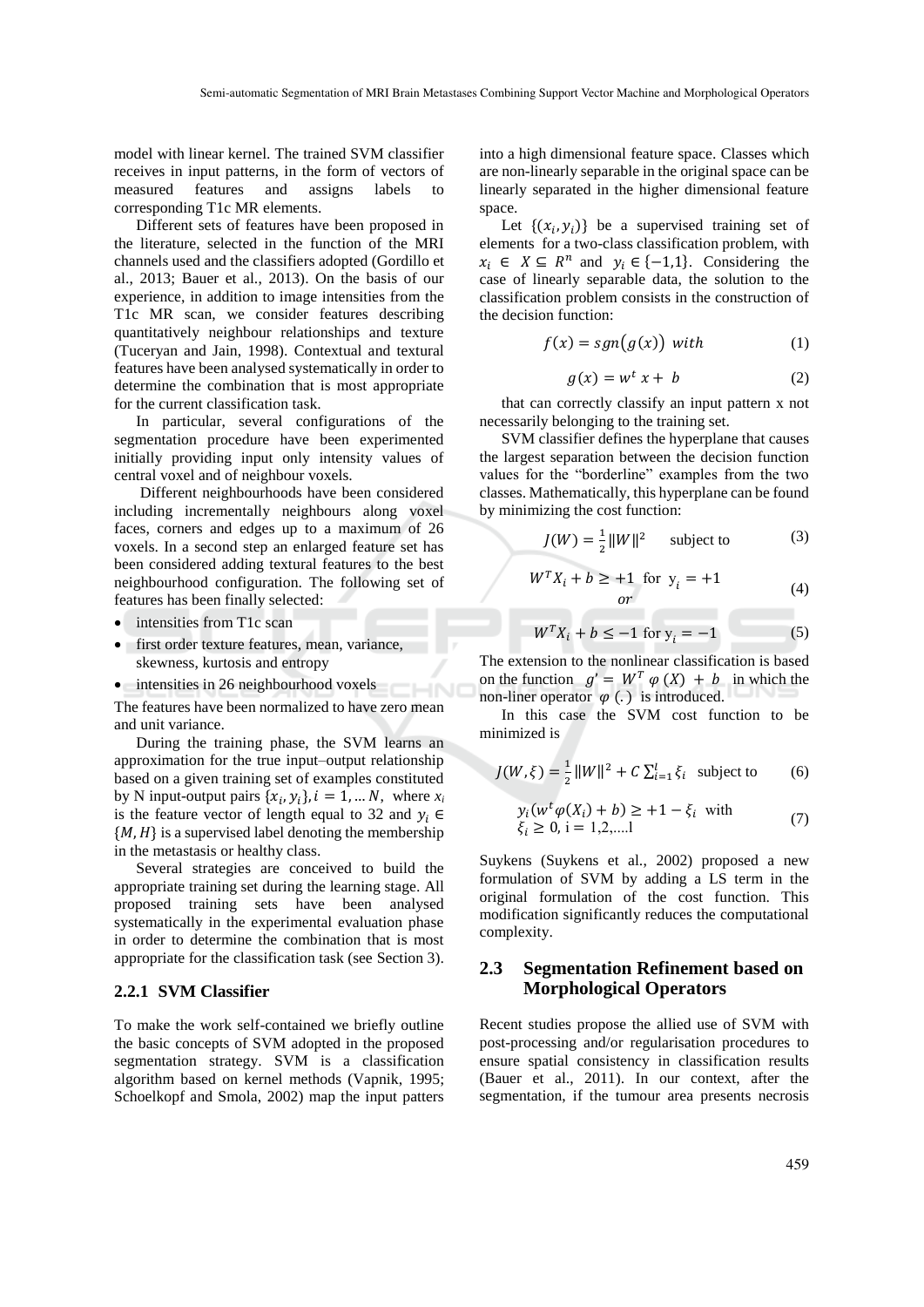model with linear kernel. The trained SVM classifier receives in input patterns, in the form of vectors of measured features and assigns labels to corresponding T1c MR elements.

Different sets of features have been proposed in the literature, selected in the function of the MRI channels used and the classifiers adopted (Gordillo et al., 2013; Bauer et al., 2013). On the basis of our experience, in addition to image intensities from the T1c MR scan, we consider features describing quantitatively neighbour relationships and texture (Tuceryan and Jain, 1998). Contextual and textural features have been analysed systematically in order to determine the combination that is most appropriate for the current classification task.

In particular, several configurations of the segmentation procedure have been experimented initially providing input only intensity values of central voxel and of neighbour voxels.

Different neighbourhoods have been considered including incrementally neighbours along voxel faces, corners and edges up to a maximum of 26 voxels. In a second step an enlarged feature set has been considered adding textural features to the best neighbourhood configuration. The following set of features has been finally selected:

- intensities from T1c scan
- first order texture features, mean, variance, skewness, kurtosis and entropy
- intensities in 26 neighbourhood voxels

The features have been normalized to have zero mean and unit variance.

HNI

During the training phase, the SVM learns an approximation for the true input–output relationship based on a given training set of examples constituted by N input-output pairs  $\{x_i, y_i\}$ ,  $i = 1, ... N$ , where  $x_i$ is the feature vector of length equal to 32 and  $y_i \in$  ${M, H}$  is a supervised label denoting the membership in the metastasis or healthy class.

Several strategies are conceived to build the appropriate training set during the learning stage. All proposed training sets have been analysed systematically in the experimental evaluation phase in order to determine the combination that is most appropriate for the classification task (see Section 3).

#### **2.2.1 SVM Classifier**

To make the work self-contained we briefly outline the basic concepts of SVM adopted in the proposed segmentation strategy. SVM is a classification algorithm based on kernel methods (Vapnik, 1995; Schoelkopf and Smola, 2002) map the input patters into a high dimensional feature space. Classes which are non-linearly separable in the original space can be linearly separated in the higher dimensional feature space.

Let  $\{(x_i, y_i)\}\)$  be a supervised training set of elements for a two-class classification problem, with  $x_i \in X \subseteq R^n$  and  $y_i \in \{-1,1\}$ . Considering the case of linearly separable data, the solution to the classification problem consists in the construction of the decision function:

$$
f(x) = sgn(g(x)) \text{ with } (1)
$$

$$
g(x) = w^t x + b \tag{2}
$$

that can correctly classify an input pattern x not necessarily belonging to the training set.

SVM classifier defines the hyperplane that causes the largest separation between the decision function values for the "borderline" examples from the two classes. Mathematically, this hyperplane can be found by minimizing the cost function:

$$
J(W) = \frac{1}{2} ||W||^2 \qquad \text{subject to} \tag{3}
$$

$$
WT Xi + b \ge +1 \text{ for } yi = +1
$$
  
or (4)

$$
W^{T}X_{i} + b \le -1 \text{ for } y_{i} = -1 \tag{5}
$$

The extension to the nonlinear classification is based on the function  $g' = W^T \varphi(X) + b$  in which the non-liner operator  $\varphi$  (.) is introduced.

In this case the SVM cost function to be minimized is

$$
J(W, \xi) = \frac{1}{2} ||W||^2 + C \sum_{i=1}^{l} \xi_i \text{ subject to } (6)
$$

$$
y_i(w^t \varphi(X_i) + b) \ge +1 - \xi_i \text{ with}
$$
  
\n
$$
\xi_i \ge 0, i = 1, 2, \dots
$$
 (7)

Suykens (Suykens et al., 2002) proposed a new formulation of SVM by adding a LS term in the original formulation of the cost function. This modification significantly reduces the computational complexity.

#### **2.3 Segmentation Refinement based on Morphological Operators**

Recent studies propose the allied use of SVM with post-processing and/or regularisation procedures to ensure spatial consistency in classification results (Bauer et al., 2011). In our context, after the segmentation, if the tumour area presents necrosis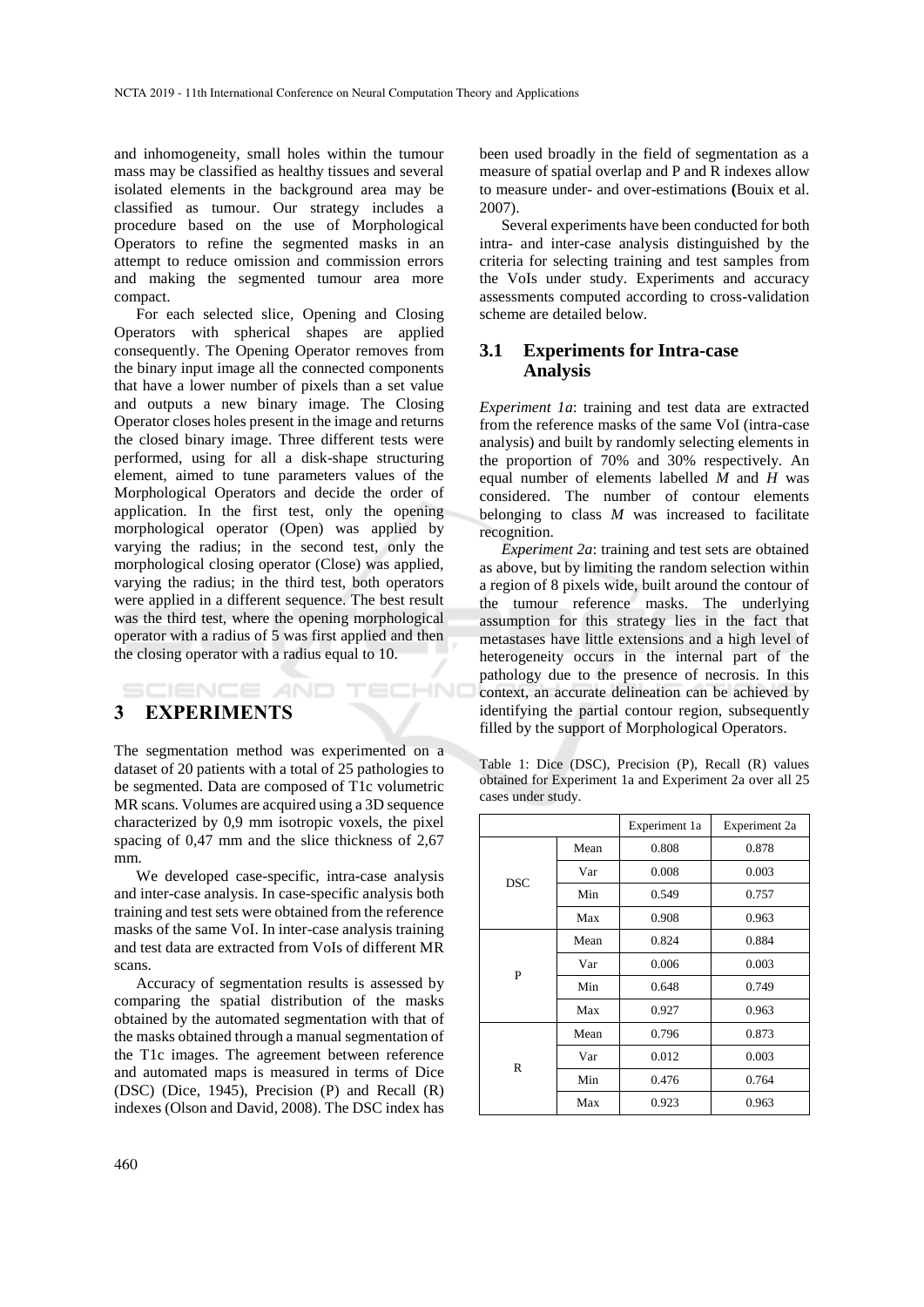and inhomogeneity, small holes within the tumour mass may be classified as healthy tissues and several isolated elements in the background area may be classified as tumour. Our strategy includes a procedure based on the use of Morphological Operators to refine the segmented masks in an attempt to reduce omission and commission errors and making the segmented tumour area more compact.

For each selected slice, Opening and Closing Operators with spherical shapes are applied consequently. The Opening Operator removes from the binary input image all the connected components that have a lower number of pixels than a set value and outputs a new binary image. The Closing Operator closes holes present in the image and returns the closed binary image. Three different tests were performed, using for all a disk-shape structuring element, aimed to tune parameters values of the Morphological Operators and decide the order of application. In the first test, only the opening morphological operator (Open) was applied by varying the radius; in the second test, only the morphological closing operator (Close) was applied, varying the radius; in the third test, both operators were applied in a different sequence. The best result was the third test, where the opening morphological operator with a radius of 5 was first applied and then the closing operator with a radius equal to 10.

# **3 EXPERIMENTS**

**IENCE** *A***ND** 

The segmentation method was experimented on a dataset of 20 patients with a total of 25 pathologies to be segmented. Data are composed of T1c volumetric MR scans. Volumes are acquired using a 3D sequence characterized by 0,9 mm isotropic voxels, the pixel spacing of 0,47 mm and the slice thickness of 2,67 mm.

**HNO** 

We developed case-specific, intra-case analysis and inter-case analysis. In case-specific analysis both training and test sets were obtained from the reference masks of the same VoI. In inter-case analysis training and test data are extracted from VoIs of different MR scans.

Accuracy of segmentation results is assessed by comparing the spatial distribution of the masks obtained by the automated segmentation with that of the masks obtained through a manual segmentation of the T1c images. The agreement between reference and automated maps is measured in terms of Dice (DSC) (Dice, 1945), Precision (P) and Recall (R) indexes (Olson and David, 2008). The DSC index has

been used broadly in the field of segmentation as a measure of spatial overlap and P and R indexes allow to measure under- and over-estimations **(**Bouix et al. 2007).

Several experiments have been conducted for both intra- and inter-case analysis distinguished by the criteria for selecting training and test samples from the VoIs under study. Experiments and accuracy assessments computed according to cross-validation scheme are detailed below.

#### **3.1 Experiments for Intra-case Analysis**

*Experiment 1a*: training and test data are extracted from the reference masks of the same VoI (intra-case analysis) and built by randomly selecting elements in the proportion of 70% and 30% respectively. An equal number of elements labelled *M* and *H* was considered. The number of contour elements belonging to class *M* was increased to facilitate recognition.

*Experiment 2a*: training and test sets are obtained as above, but by limiting the random selection within a region of 8 pixels wide, built around the contour of the tumour reference masks. The underlying assumption for this strategy lies in the fact that metastases have little extensions and a high level of heterogeneity occurs in the internal part of the pathology due to the presence of necrosis. In this context, an accurate delineation can be achieved by identifying the partial contour region, subsequently filled by the support of Morphological Operators.

Table 1: Dice (DSC), Precision (P), Recall (R) values obtained for Experiment 1a and Experiment 2a over all 25 cases under study.

|            |      | Experiment 1a | Experiment 2a |
|------------|------|---------------|---------------|
| <b>DSC</b> | Mean | 0.808         | 0.878         |
|            | Var  | 0.008         | 0.003         |
|            | Min  | 0.549         | 0.757         |
|            | Max  | 0.908         | 0.963         |
| P          | Mean | 0.824         | 0.884         |
|            | Var  | 0.006         | 0.003         |
|            | Min  | 0.648         | 0.749         |
|            | Max  | 0.927         | 0.963         |
| R          | Mean | 0.796         | 0.873         |
|            | Var  | 0.012         | 0.003         |
|            | Min  | 0.476         | 0.764         |
|            | Max  | 0.923         | 0.963         |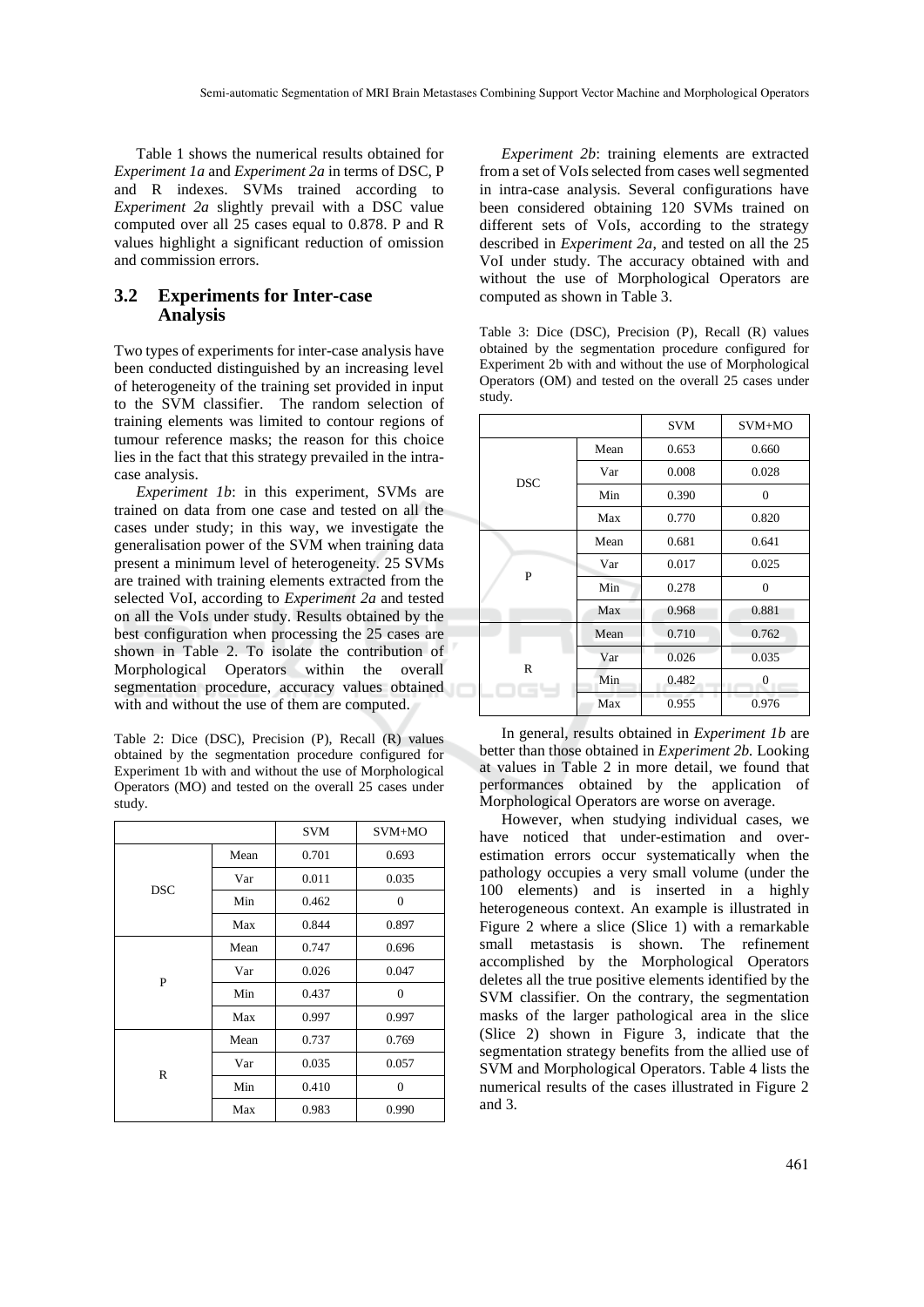Table 1 shows the numerical results obtained for *Experiment 1a* and *Experiment 2a* in terms of DSC, P and R indexes. SVMs trained according to *Experiment 2a* slightly prevail with a DSC value computed over all 25 cases equal to 0.878. P and R values highlight a significant reduction of omission and commission errors.

#### **3.2 Experiments for Inter-case Analysis**

Two types of experiments for inter-case analysis have been conducted distinguished by an increasing level of heterogeneity of the training set provided in input to the SVM classifier. The random selection of training elements was limited to contour regions of tumour reference masks; the reason for this choice lies in the fact that this strategy prevailed in the intracase analysis.

*Experiment 1b*: in this experiment, SVMs are trained on data from one case and tested on all the cases under study; in this way, we investigate the generalisation power of the SVM when training data present a minimum level of heterogeneity. 25 SVMs are trained with training elements extracted from the selected VoI, according to *Experiment 2a* and tested on all the VoIs under study. Results obtained by the best configuration when processing the 25 cases are shown in Table 2. To isolate the contribution of Morphological Operators within the overall segmentation procedure, accuracy values obtained with and without the use of them are computed.

Table 2: Dice (DSC), Precision (P), Recall (R) values obtained by the segmentation procedure configured for Experiment 1b with and without the use of Morphological Operators (MO) and tested on the overall 25 cases under study.

|            |      | <b>SVM</b> | $SVM+MO$ |
|------------|------|------------|----------|
|            | Mean | 0.701      | 0.693    |
| <b>DSC</b> | Var  | 0.011      | 0.035    |
|            | Min  | 0.462      | $\theta$ |
|            | Max  | 0.844      | 0.897    |
|            | Mean | 0.747      | 0.696    |
| P          | Var  | 0.026      | 0.047    |
|            | Min  | 0.437      | $\theta$ |
|            | Max  | 0.997      | 0.997    |
|            | Mean | 0.737      | 0.769    |
| R          | Var  | 0.035      | 0.057    |
|            | Min  | 0.410      | $\theta$ |
|            | Max  | 0.983      | 0.990    |

*Experiment 2b*: training elements are extracted from a set of VoIs selected from cases well segmented in intra-case analysis. Several configurations have been considered obtaining 120 SVMs trained on different sets of VoIs, according to the strategy described in *Experiment 2a*, and tested on all the 25 VoI under study. The accuracy obtained with and without the use of Morphological Operators are computed as shown in Table 3.

Table 3: Dice (DSC), Precision (P), Recall (R) values obtained by the segmentation procedure configured for Experiment 2b with and without the use of Morphological Operators (OM) and tested on the overall 25 cases under study.

|            |      | <b>SVM</b> | SVM+MO       |  |
|------------|------|------------|--------------|--|
| <b>DSC</b> | Mean | 0.653      | 0.660        |  |
|            | Var  | 0.008      | 0.028        |  |
|            | Min  | 0.390      | $\mathbf{0}$ |  |
|            | Max  | 0.770      | 0.820        |  |
|            | Mean | 0.681      | 0.641        |  |
| P          | Var  | 0.017      | 0.025        |  |
|            | Min  | 0.278      | $\Omega$     |  |
|            | Max  | 0.968      | 0.881        |  |
|            | Mean | 0.710      | 0.762        |  |
| R          | Var  | 0.026      | 0.035        |  |
|            | Min  | 0.482      | $\mathbf{0}$ |  |
|            | Max  | 0.955      | 0.976        |  |

In general, results obtained in *Experiment 1b* are better than those obtained in *Experiment 2b.* Looking at values in Table 2 in more detail, we found that performances obtained by the application of Morphological Operators are worse on average.

However, when studying individual cases, we have noticed that under-estimation and overestimation errors occur systematically when the pathology occupies a very small volume (under the 100 elements) and is inserted in a highly heterogeneous context. An example is illustrated in Figure 2 where a slice (Slice 1) with a remarkable small metastasis is shown. The refinement accomplished by the Morphological Operators deletes all the true positive elements identified by the SVM classifier. On the contrary, the segmentation masks of the larger pathological area in the slice (Slice 2) shown in Figure 3, indicate that the segmentation strategy benefits from the allied use of SVM and Morphological Operators. Table 4 lists the numerical results of the cases illustrated in Figure 2 and 3.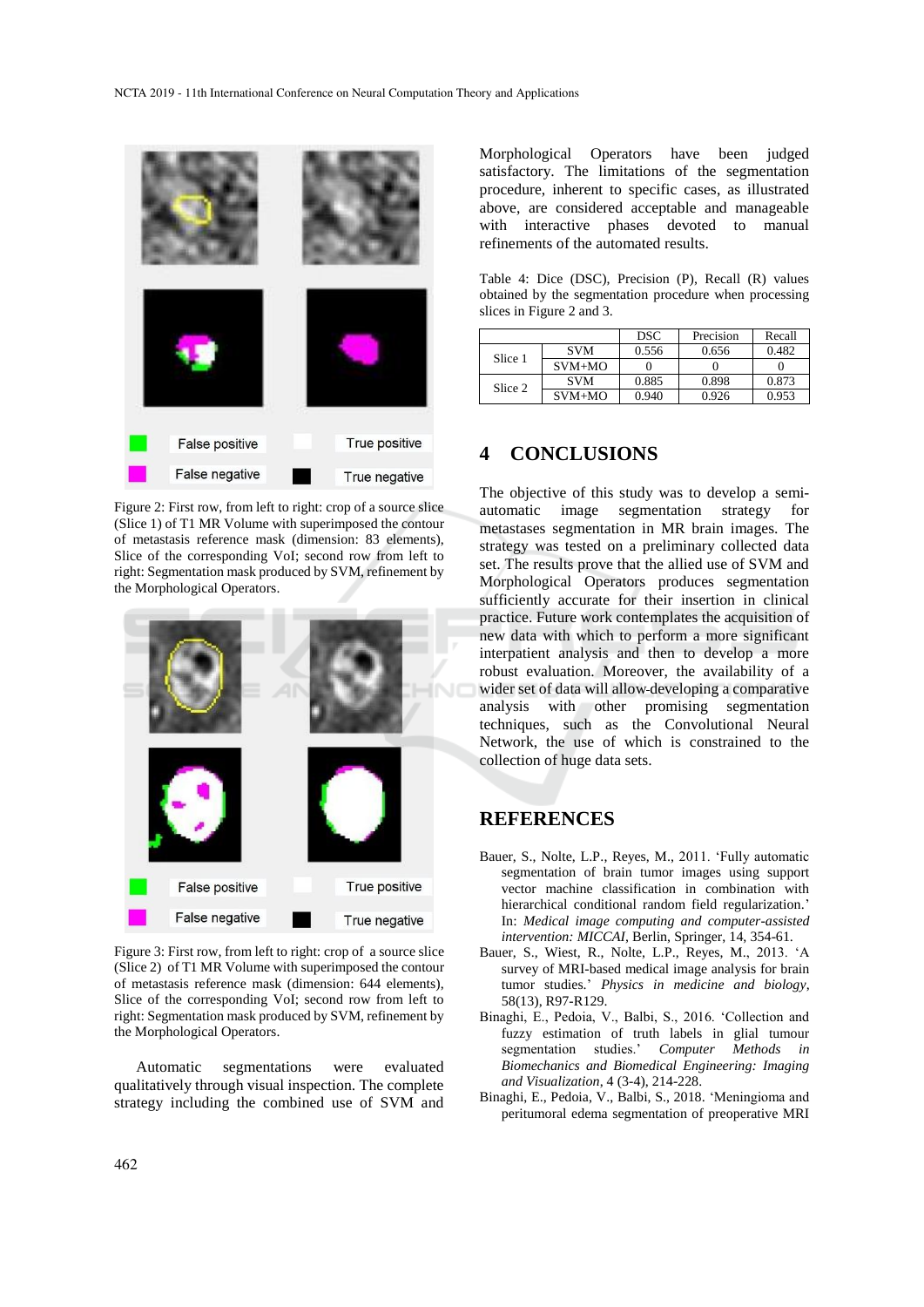

Figure 2: First row, from left to right: crop of a source slice (Slice 1) of T1 MR Volume with superimposed the contour of metastasis reference mask (dimension: 83 elements), Slice of the corresponding VoI; second row from left to right: Segmentation mask produced by SVM, refinement by the Morphological Operators.



Figure 3: First row, from left to right: crop of a source slice (Slice 2) of T1 MR Volume with superimposed the contour of metastasis reference mask (dimension: 644 elements), Slice of the corresponding VoI; second row from left to right: Segmentation mask produced by SVM, refinement by the Morphological Operators.

Automatic segmentations were evaluated qualitatively through visual inspection. The complete strategy including the combined use of SVM and

Morphological Operators have been judged satisfactory. The limitations of the segmentation procedure, inherent to specific cases, as illustrated above, are considered acceptable and manageable with interactive phases devoted to manual refinements of the automated results.

| Table 4: Dice (DSC), Precision (P), Recall (R) values  |  |  |  |
|--------------------------------------------------------|--|--|--|
| obtained by the segmentation procedure when processing |  |  |  |
| slices in Figure 2 and 3.                              |  |  |  |

|         |            | <b>DSC</b> | Precision | Recall |
|---------|------------|------------|-----------|--------|
| Slice 1 | <b>SVM</b> | 0.556      | 0.656     | 0.482  |
|         | $SVM+MO$   |            |           |        |
| Slice 2 | <b>SVM</b> | 0.885      | 0.898     | 0.873  |
|         | $SVM+MO$   | 0.940      | 0.926     | 0.953  |

### **4 CONCLUSIONS**

The objective of this study was to develop a semiautomatic image segmentation strategy for metastases segmentation in MR brain images. The strategy was tested on a preliminary collected data set. The results prove that the allied use of SVM and Morphological Operators produces segmentation sufficiently accurate for their insertion in clinical practice. Future work contemplates the acquisition of new data with which to perform a more significant interpatient analysis and then to develop a more robust evaluation. Moreover, the availability of a wider set of data will allow developing a comparative analysis with other promising segmentation techniques, such as the Convolutional Neural Network, the use of which is constrained to the collection of huge data sets.

### **REFERENCES**

- Bauer, S., Nolte, L.P., Reyes, M., 2011. 'Fully automatic segmentation of brain tumor images using support vector machine classification in combination with hierarchical conditional random field regularization.' In: *Medical image computing and computer-assisted intervention: MICCAI*, Berlin, Springer, 14, 354-61.
- Bauer, S., Wiest, R., Nolte, L.P., Reyes, M., 2013. 'A survey of MRI-based medical image analysis for brain tumor studies.' *Physics in medicine and biology*, 58(13), R97-R129.
- Binaghi, E., Pedoia, V., Balbi, S., 2016. 'Collection and fuzzy estimation of truth labels in glial tumour segmentation studies.' *Computer Methods in Biomechanics and Biomedical Engineering: Imaging and Visualization*, 4 (3-4), 214-228.
- Binaghi, E., Pedoia, V., Balbi, S., 2018. 'Meningioma and peritumoral edema segmentation of preoperative MRI